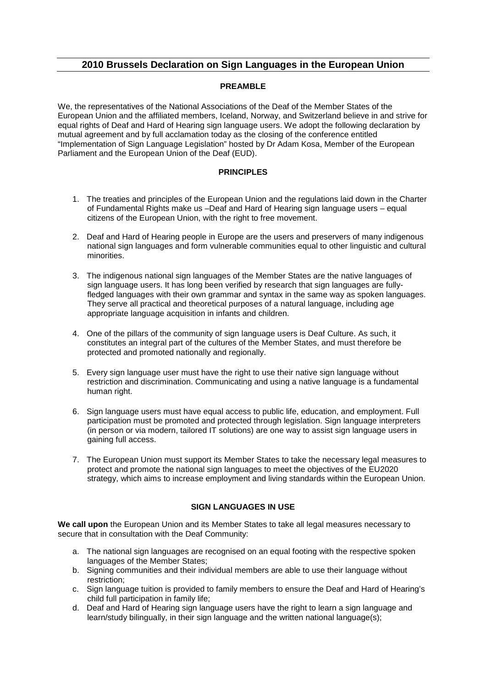## **2010 Brussels Declaration on Sign Languages in the European Union**

## **PREAMBLE**

We, the representatives of the National Associations of the Deaf of the Member States of the European Union and the affiliated members, Iceland, Norway, and Switzerland believe in and strive for equal rights of Deaf and Hard of Hearing sign language users. We adopt the following declaration by mutual agreement and by full acclamation today as the closing of the conference entitled "Implementation of Sign Language Legislation" hosted by Dr Adam Kosa, Member of the European Parliament and the European Union of the Deaf (EUD).

## **PRINCIPLES**

- 1. The treaties and principles of the European Union and the regulations laid down in the Charter of Fundamental Rights make us –Deaf and Hard of Hearing sign language users – equal citizens of the European Union, with the right to free movement.
- 2. Deaf and Hard of Hearing people in Europe are the users and preservers of many indigenous national sign languages and form vulnerable communities equal to other linguistic and cultural minorities.
- 3. The indigenous national sign languages of the Member States are the native languages of sign language users. It has long been verified by research that sign languages are fullyfledged languages with their own grammar and syntax in the same way as spoken languages. They serve all practical and theoretical purposes of a natural language, including age appropriate language acquisition in infants and children.
- 4. One of the pillars of the community of sign language users is Deaf Culture. As such, it constitutes an integral part of the cultures of the Member States, and must therefore be protected and promoted nationally and regionally.
- 5. Every sign language user must have the right to use their native sign language without restriction and discrimination. Communicating and using a native language is a fundamental human right.
- 6. Sign language users must have equal access to public life, education, and employment. Full participation must be promoted and protected through legislation. Sign language interpreters (in person or via modern, tailored IT solutions) are one way to assist sign language users in gaining full access.
- 7. The European Union must support its Member States to take the necessary legal measures to protect and promote the national sign languages to meet the objectives of the EU2020 strategy, which aims to increase employment and living standards within the European Union.

## **SIGN LANGUAGES IN USE**

**We call upon** the European Union and its Member States to take all legal measures necessary to secure that in consultation with the Deaf Community:

- a. The national sign languages are recognised on an equal footing with the respective spoken languages of the Member States;
- b. Signing communities and their individual members are able to use their language without restriction;
- c. Sign language tuition is provided to family members to ensure the Deaf and Hard of Hearing's child full participation in family life;
- d. Deaf and Hard of Hearing sign language users have the right to learn a sign language and learn/study bilingually, in their sign language and the written national language(s);